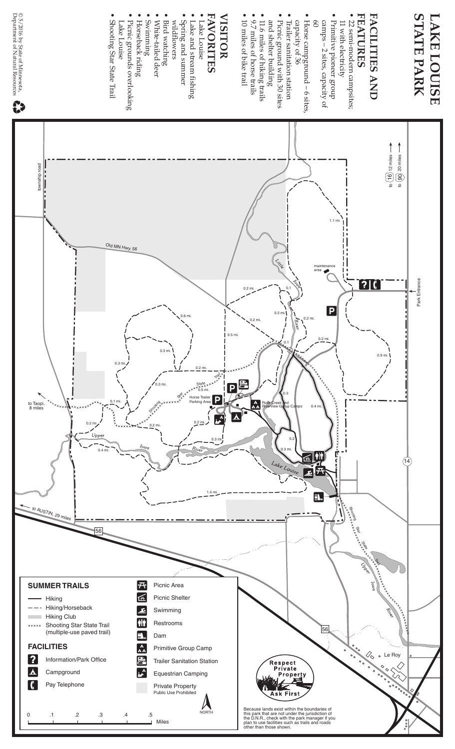

Park Entrance

Park Entrance

위 2 to 12 miles to 20 miles

↑ ↑

0.9 mi.

 $[?]$  (

 $(14)$ 

# **FACILITIES AND FACILITIES AND**

- **FEATURES ATURES**
- 22 semi-modern campsites; 22 semi-modern campsites; 11 with electricity 11 with electricity
- · Primitive pioneer group • Primitive pioneer group camps – 2 sites, capacity of  $60$ camps – 2 sites, capacity of

maintenance area

 $\boxed{\mathsf{P}}$ 

1.1 mi.

- Horse campground 6 sites, Horse campground - 6 sites
- Trailer sanitation station capacity of 36 Trailer sanitation station capacity of 36
- Picnic ground with 30 sites • Picnic ground with 30 sites
- · 11.6 miles of hiking trails • 11.6 miles of hiking trails and shelter building and shelter building
- 9.7 miles of horse trails • 9.7 miles of horse trails

0.2 mi.

 $\sqrt{\frac{1}{2}}$ 

0.2

0.3 mi.

Because lands exist within the boundaries of this park that are not under the jurisdiction of the D.N.R., check with the park manager if you plan to use facilities such as trails and roads other than those shown.

Respect<br>Private<br>Propen

Ask First

0.3

Rock Creek and **Riverview Group Camps** 

0.2 mi.

0.1

0.4 mi.

軸 丘  $\overline{\mathbf{x}}$ 

E.

D

Shooting

56

Star

See

Trail

Le Roy

0.2 mi.

 $_{0.1}$   $\parallel$   $\sim$   $\sim$   $_{0.2}$  mi.

0.2 mi.

 $0.5 m$ 

P.

• 10 miles of bike trail • 10 miles of bike trail

## **VISITOR VISITOR**

**FAVORITES AVORITES**

1.4 mi.

0.3 mi.

Trail

l P

0.2 mi.

State

Horse Trailer Parking Area

0.5 mi.

0.2 mi.

0.6 mi.

- Lake Louise • Lake Louise
- · Lake and stream fishing • Lake and st ream fishing
- Spring and summer Spring and summer
- wildflowers wildflowers
- 
- Bird watching<br>• White-tailed deer • Bird watching
- White-tailed deer
- · Swimming • Swimming
- Horseback riding
- Horseback riding<br>• Picnic grounds overlooking rounds overlooking
- Lake Louise Lake Louise
- Shooting Star State • Shooting Star State Trail
- 
- -
- 
- 

AUSTIN, 29

**SUMMER TRAILS** Hiking

**FACILITIES**

 $\mathbf{P}$ 

G

A Campground

Pay Telephone

 Hiking/Horseback Hiking Club **xxxxx** Shooting Star State Trail (multiple-use paved trail)

Information/Park Office

0 .1 .2 .3 .4 .5

to Taopi, 8 miles

township road

township road

© 5/2016 by State of Mimesota,<br>Department of Natural Resource © 5/2016 by State of Minnesota,<br>Department of Natural Resources

R

- 
- 
- 
- 
- 
- 

Old MN Hwy. 56

0.4 mi.

56

0.1 mi.

0.2 mi.

**74** Picnic Area **Ficnic Shelter** Swimming **An** Restrooms **Dam** 

AA Primitive Group Camp **The Trailer Sanitation Station**  $\begin{bmatrix} \mathbf{A} \\ \mathbf{B} \end{bmatrix}$  Equestrian Camping Private Property Public Use Prohibited

Miles

NORTH

Stroit

0.3 mi.

ss.

 $0.3 m$ 

 $0.3$ 

 $0.2$ 

- 
- 
- 
- 
- 
- 
- 
- 
- 
- 
- 
- 
- 
- 
- 
- 
- 
- 
- -
- 
- 
- 
- 
- 
- 
- 
- 
- 
- 
- 
- 
- 
- 
- 
- 
- 
- 
- 
- 
- 
- 
- 
- 
-